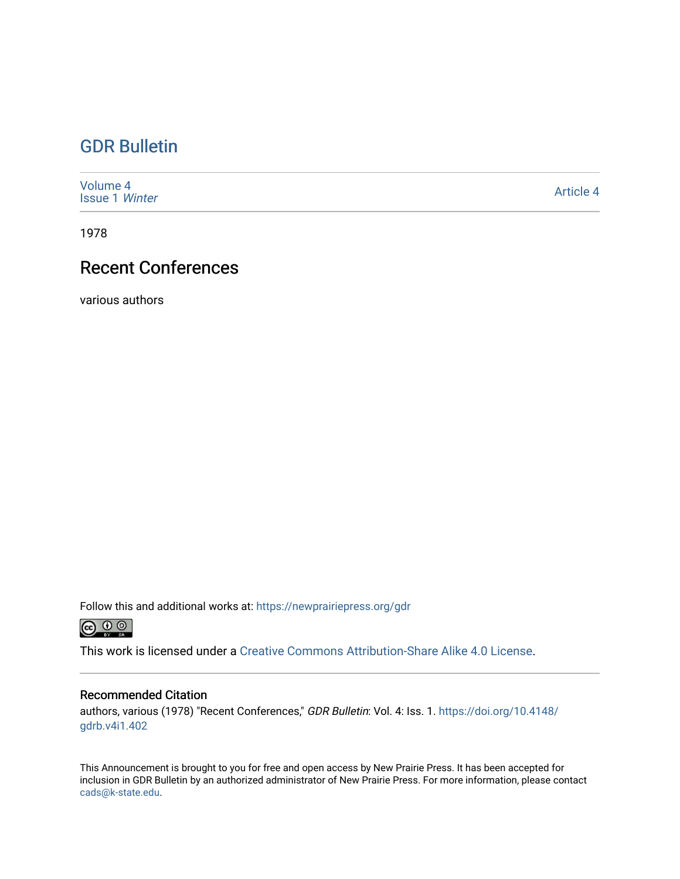# [GDR Bulletin](https://newprairiepress.org/gdr)

| Volume 4<br><b>Issue 1 Winter</b> | <b>Article 4</b> |
|-----------------------------------|------------------|
|-----------------------------------|------------------|

1978

# Recent Conferences

various authors

Follow this and additional works at: [https://newprairiepress.org/gdr](https://newprairiepress.org/gdr?utm_source=newprairiepress.org%2Fgdr%2Fvol4%2Fiss1%2F4&utm_medium=PDF&utm_campaign=PDFCoverPages) 



This work is licensed under a [Creative Commons Attribution-Share Alike 4.0 License.](https://creativecommons.org/licenses/by-sa/4.0/)

## Recommended Citation

authors, various (1978) "Recent Conferences," GDR Bulletin: Vol. 4: Iss. 1. [https://doi.org/10.4148/](https://doi.org/10.4148/gdrb.v4i1.402) [gdrb.v4i1.402](https://doi.org/10.4148/gdrb.v4i1.402) 

This Announcement is brought to you for free and open access by New Prairie Press. It has been accepted for inclusion in GDR Bulletin by an authorized administrator of New Prairie Press. For more information, please contact [cads@k-state.edu.](mailto:cads@k-state.edu)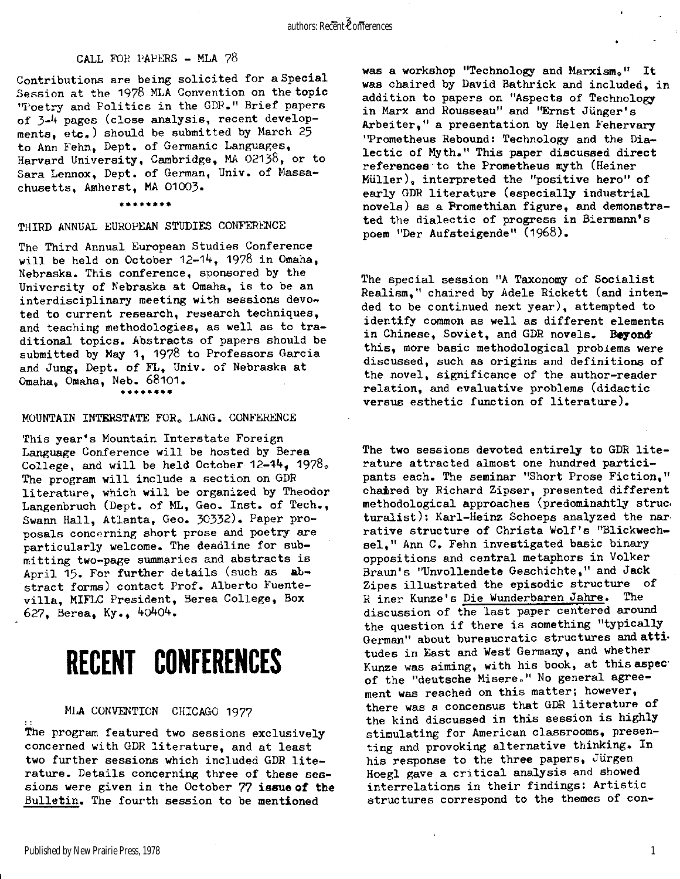#### CALL FOR PAPERS - MLA **?8**

Contributions are being solicited for a Special Session at the 1978 MLA Convention on the topic "Poetry and Politics in the GDR." Brief papers of  $3-4$  pages (close analysis, recent developments, etc. ) should be submitted by March 25 to Ann Fehn, Dept. of Germanic Languages, Harvard University, Cambridge, MA 02138, or to Sara Lennox, Dept. of German, Univ. of Massachusetts, Amherst, MA 01003.

**\*\*\*\*\*\*\*\*** 

#### THIRD ANNUAL EUROPEAN STUDIES CONFERENCE

The Third Annual European Studies Conference will be held on October 12-14, 1978 in Omaha, Nebraska. This conference, sponsored by the University of Nebraska at Omaha, is to be an interdisciplinary meeting with sessions devo $\rightarrow$ ted to current research, research techniques, and teaching methodologies, as well as to traditional topics. Abstracts of papers should be submitted by May 1, 1978 to Professors Garcia and Jung, Dept. of FL, Univ. of Nebraska at Omaha, Omaha, Neb. **68101. \*\*\*\*\*\*\*\*** 

#### MOUNTAIN INTERSTATE FOR. LANG. CONFERENCE

This year's Mountain Interstate Foreign Language Conference will be hosted by Berea College, and will be held October 12-44, 1978. The program will include a section on GDR literature, which will be organized by Theodor Langenbruch (Dept. of ML, Geo. Inst. of Tech., Swann Hall, Atlanta, Geo. 30332). Paper proposals concerning short prose and poetry are particularly welcome. The deadline for submitting two-page summaries and abstracts is April 15. For further details (such as abstract forms) contact Prof. Alberto Fuentevilla, MIFLC President, Berea College, Box **627,** Berea, Ky., **4o4o4.** 

# RECENT CONFERENCES

## MLA CONVENTION CHICAGO **1977**

The program featured two sessions exclusively concerned with GDR literature, and at least two further sessions which included GDR literature. Details concerning three of these sessions were given in the October 77 issue of the Bulletin. The fourth session to be mentioned

was a workshop "Technology and Marxism." It was chaired by David Bathrick and included, in addition to papers on "Aspects of Technology in Marx and Rousseau" and "Ernst Jünger's Arbeiter," a presentation by Helen Fehervary 'Prometheus Rebound: Technology and the Dialectic of Myth." This paper discussed direct references to the Prometheus myth (Heiner Müller), interpreted the "positive hero" of early GDR literature (especially industrial novels) as a Promethian figure, and demonstrated the dialectic of progress in Biermann's poem "Der Aufsteigende " **(1968).** 

The special session "A Taxonomy of Socialist  $Realism<sub>1</sub>$ " chaired by Adele Rickett (and intended to be continued next year), attempted to identify common as well as different elements in Chinese, Soviet, and GDR novels. Boyond this, more basic methodological problems were discussed, such as origins and definitions of the novel, significance of the author-reader relation, and evaluative problems (didactic versus esthetic function of literature).

The two sessions devoted entirely to GDR literature attracted almost one hundred participants each. The seminar "Short Prose Fiction, " chaired by Richard Zipser, presented different methodological approaches (predominantly struc. turalist): Karl-Heinz Schoeps analyzed the nar rative structure of Christa Wolf's "Blickwechsel," Ann C. Fehn investigated basic binary oppositions and central metaphors in Volker Braun's "Unvollendete Geschichte," and Jack Zipes illustrated the episodic structure of R iner Kunze's Die Wunderbaren Jahre. The discussion of the last paper centered around the question if there is something "typically German" about bureaucratic structures and attitudes in East and West Germany, and whether Kunze was aiming, with his book, at this aspect of the "deutsche Misere." No general agreement was reached on this matter; however, there was a concensus that GDR literature of the kind discussed in this session is highly stimulating for American classrooms, presenting and provoking alternative thinking. In his response to the three papers, Jürgen Hoegl gave a critical analysis and showed interrelations in their findings: Artistic structures correspond to the themes of con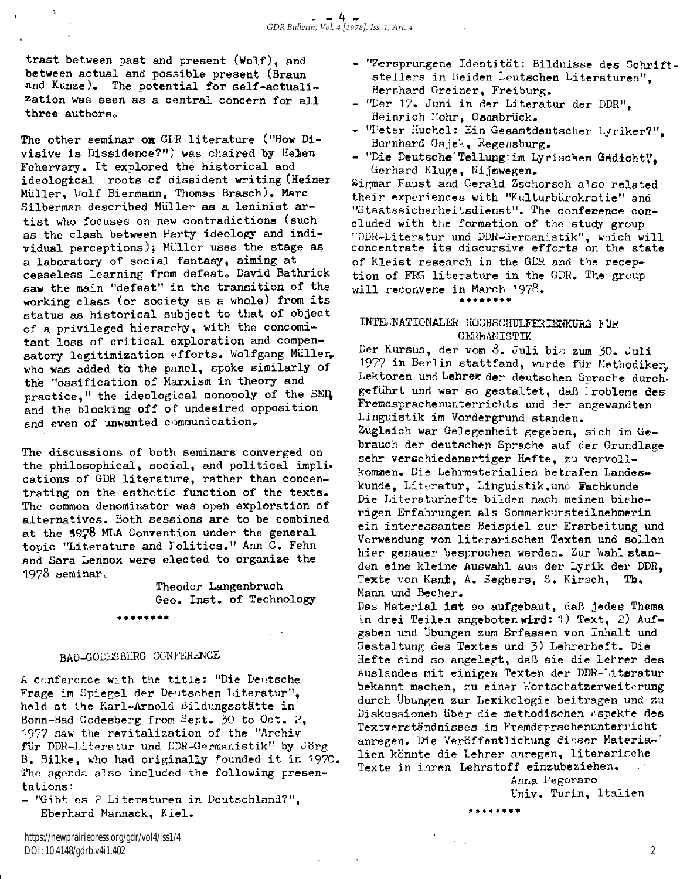trast between past and present (Wolf), and between actual and possible present (Braun and Kunze). The potential for self-actualization was seen as a central concern for all three authors.

The other seminar on GLR literature ("How Divisive is Dissidence?") was chaired by Helen Fehervary. It explored the historical and ideological roots of dissident writing (Heiner Müller, Wolf Biermann, Thomas Brasch) . Marc Silberman described Müller as a leninist artist who focuses on new contradictions (such as the clash between Party ideology and individual perceptions); Müller uses the stage as a laboratory of social fantasy, aiming at ceaseless learning from defeat. David Bathrick saw the main "defeat" in the transition of the working class (or society as a whole) from its status as historical subject to that of object of a privileged hierarchy, with the concomitant loss of critical exploration and compensatory legitimization efforts. Wolfgang Müller. who was added to the panel, spoke similarly of the "ossification of Marxism in theory and practice," the ideological monopoly of the SED, and the blocking off of undesired opposition and even of unwanted communication.

The discussions of both seminars converged on the philosophical, social, and political implications of GDR literature, rather than concentrating on the esthetic function of the texts. The common denominator was open exploration of alternatives. Both sessions are to be combined at the 1978 MLA Convention under the general topic "Literature and Politics." Ann C. Fehn and Sara Lennox were elected to organize the **1978** seminar.

> Theodor Langenbruch Geo. Inst. of Technology **\*\*\*\*\*\*\*\***

# BAD-CODESBERG CONFERENCE

A conference with the title: "Die Deutsche Frage im Spiegel der Deutschen Literatur", held at the Karl-Arnold Bildungsstätte in Bonn-Bad Godesberg from Sept. 30 to Oct. 2, 1977 saw the revitalization of the "Archiv für DDR-Literatur und DDR-Germanistik" by Jörg B. Bilke, who had originally founded it in 1970. The agenda also included the following presentations:

- "Gibt es 2 Literaturen in Deutschland?", Eberhard Mannack, Kiel .

- "Zersprungene Identität: Bildnisse des Schriftstellers in Beiden Deutschen Literaturen". Bernhard Greiner, Freiburg.
- "Der 17. Juni in der Literatur der DDR", Heinrich Mohr, Osnabrück.
- "Peter Huchel: Ein Gesamtdeutscher Lyriker?". Bernhard Gajek, Regensburg.
- "Die Deutsche Teilung: im: Lyrischen Gedicht!", Gerhard Kluge, Nijmwegen.

Sigmar Faust and Gerald Zschorsch also related their experiences with "Kulturbürokratie" and "Staatssicherheitsdienst". The conference concluded with the formation of the study group "DDR-Literatur und DDR-Germanistik", wnich will concentrate its discursive efforts on the state of Kleist research in the GDR and the reception of FRG literature in the GDR. The group will reconvene in March 1978.

INTERNATIONALER HOCHSCHULFERIENKURS FÜR GERMANISTIK

**\*\*\*\*\*\*\*\*** 

Der Kursus, der vom **8.** Jul i bi s zum **30.** Jul <sup>i</sup> 1977 in Berlin stattfand, wurde für Methodiker, Lektoren und Lehrer der deutschen Sprache durchgeführt und war so gestaltet, daß Frobleme des Fremdsprachenunterrichts und der angewandten Linguistik im Vordergrund standen. Zugleich war Gelegenheit gegeben, sich im Gebrauch der deutschen Sprache auf der Grundlage sehr verschiedenartiger Hefte, zu vervollkommen. Die Lehrmaterialien betrafen Landeskunde, Literatur, Linguistik, und Fachkunde Die Literaturhefte bilden nach meinen bisherigen Erfahrungen als Sommerkursteilnehmerin ein interessantes Beispiel zur Erarbeitung und Verwendung von literarischen Texten und sollen hier genauer besprochen werden. Zur Wahlstanden eine kleine Auswahl aus der Lyrik der DDR, Texte von Kant, A. Seghers, S. Kirsch, Th. Mann und Becher.

Das Material ist so aufgebaut, daß jedes Thema in drei Teilen angeboten wird: 1) Text, 2) Aufgaben und Übungen zum Erfassen von Inhalt und Gestaltung des Textes und 3) Lehrerheft. Die Hefte sind so angelegt, daß sie die Lehrer des Auslandes mit einigen Texten der DDR-Literatur bekannt machen, zu einer Wortschatzerweiterung durch Übungen zur Lexikologie beitragen und zu Diskussionen über die methodischen Aspekte des Textverständnisses im Fremdsprachenunterricht anregen. Die Veröffentlichung dieser Materialien könnte die Lehrer anregen, literarische Texte in ihren Lehrstoff einzubeziehen.

Anna Pegoraro Univ. Turin, Italien

\*\*\*\*\*\*\*